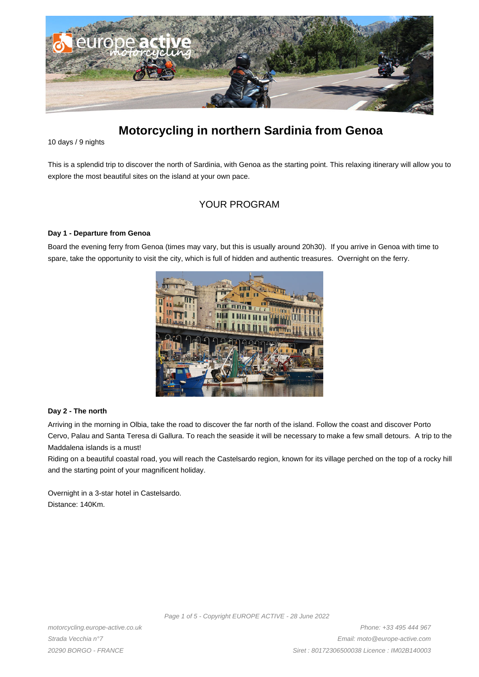

# **Motorcycling in northern Sardinia from Genoa**

10 days / 9 nights

This is a splendid trip to discover the north of Sardinia, with Genoa as the starting point. This relaxing itinerary will allow you to explore the most beautiful sites on the island at your own pace.

# YOUR PROGRAM

#### **Day 1 - Departure from Genoa**

Board the evening ferry from Genoa (times may vary, but this is usually around 20h30). If you arrive in Genoa with time to spare, take the opportunity to visit the city, which is full of hidden and authentic treasures. Overnight on the ferry.



#### **Day 2 - The north**

Arriving in the morning in Olbia, take the road to discover the far north of the island. Follow the coast and discover Porto Cervo, Palau and Santa Teresa di Gallura. To reach the seaside it will be necessary to make a few small detours. A trip to the Maddalena islands is a must!

Riding on a beautiful coastal road, you will reach the Castelsardo region, known for its village perched on the top of a rocky hill and the starting point of your magnificent holiday.

Overnight in a 3-star hotel in Castelsardo. Distance: 140Km.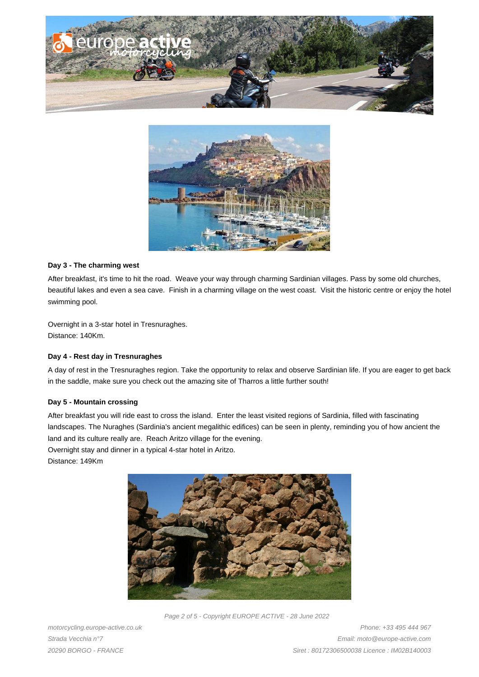



#### **Day 3 - The charming west**

After breakfast, it's time to hit the road. Weave your way through charming Sardinian villages. Pass by some old churches, beautiful lakes and even a sea cave. Finish in a charming village on the west coast. Visit the historic centre or enjoy the hotel swimming pool.

Overnight in a 3-star hotel in Tresnuraghes. Distance: 140Km.

#### **Day 4 - Rest day in Tresnuraghes**

A day of rest in the Tresnuraghes region. Take the opportunity to relax and observe Sardinian life. If you are eager to get back in the saddle, make sure you check out the amazing site of Tharros a little further south!

#### **Day 5 - Mountain crossing**

After breakfast you will ride east to cross the island. Enter the least visited regions of Sardinia, filled with fascinating landscapes. The Nuraghes (Sardinia's ancient megalithic edifices) can be seen in plenty, reminding you of how ancient the land and its culture really are. Reach Aritzo village for the evening.

Overnight stay and dinner in a typical 4-star hotel in Aritzo.

Distance: 149Km



Page 2 of 5 - Copyright EUROPE ACTIVE - 28 June 2022

motorcycling.europe-active.co.uk Strada Vecchia n°7 20290 BORGO - FRANCE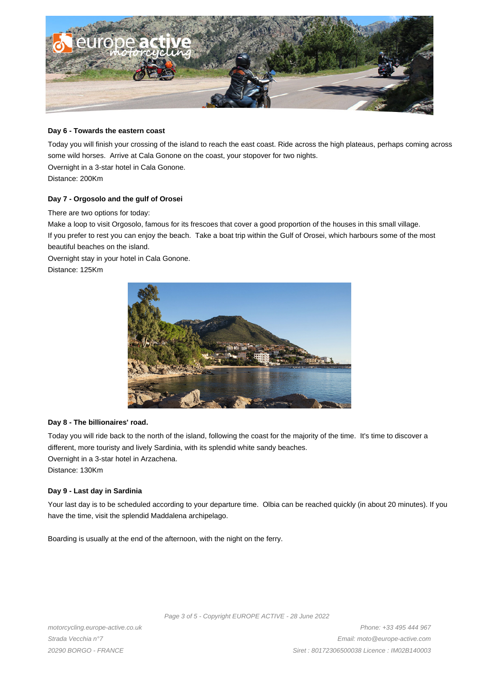

#### **Day 6 - Towards the eastern coast**

Today you will finish your crossing of the island to reach the east coast. Ride across the high plateaus, perhaps coming across some wild horses. Arrive at Cala Gonone on the coast, your stopover for two nights.

Overnight in a 3-star hotel in Cala Gonone. Distance: 200Km

#### **Day 7 - Orgosolo and the gulf of Orosei**

There are two options for today:

Make a loop to visit Orgosolo, famous for its frescoes that cover a good proportion of the houses in this small village. If you prefer to rest you can enjoy the beach. Take a boat trip within the Gulf of Orosei, which harbours some of the most beautiful beaches on the island.

Overnight stay in your hotel in Cala Gonone.

Distance: 125Km



#### **Day 8 - The billionaires' road.**

Today you will ride back to the north of the island, following the coast for the majority of the time. It's time to discover a different, more touristy and lively Sardinia, with its splendid white sandy beaches. Overnight in a 3-star hotel in Arzachena.

Distance: 130Km

#### **Day 9 - Last day in Sardinia**

Your last day is to be scheduled according to your departure time. Olbia can be reached quickly (in about 20 minutes). If you have the time, visit the splendid Maddalena archipelago.

Boarding is usually at the end of the afternoon, with the night on the ferry.

Page 3 of 5 - Copyright EUROPE ACTIVE - 28 June 2022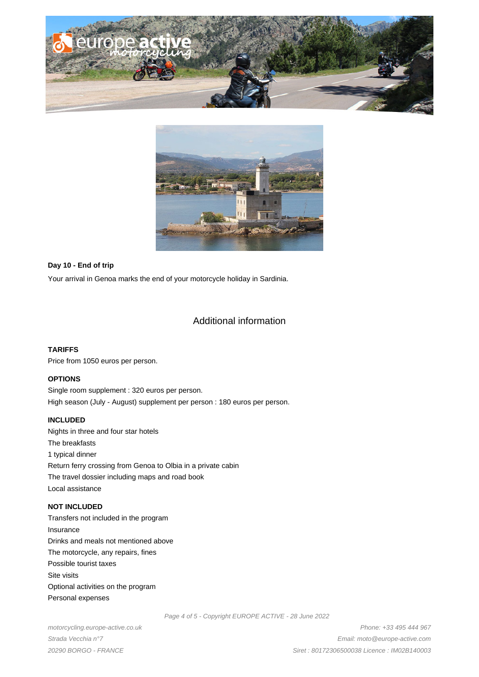



#### **Day 10 - End of trip**

Your arrival in Genoa marks the end of your motorcycle holiday in Sardinia.

## Additional information

#### **TARIFFS**

Price from 1050 euros per person.

#### **OPTIONS**

Single room supplement : 320 euros per person. High season (July - August) supplement per person : 180 euros per person.

#### **INCLUDED**

Nights in three and four star hotels The breakfasts 1 typical dinner Return ferry crossing from Genoa to Olbia in a private cabin The travel dossier including maps and road book Local assistance

### **NOT INCLUDED**

Transfers not included in the program Insurance Drinks and meals not mentioned above The motorcycle, any repairs, fines Possible tourist taxes Site visits Optional activities on the program Personal expenses

Page 4 of 5 - Copyright EUROPE ACTIVE - 28 June 2022

motorcycling.europe-active.co.uk Strada Vecchia n°7 20290 BORGO - FRANCE